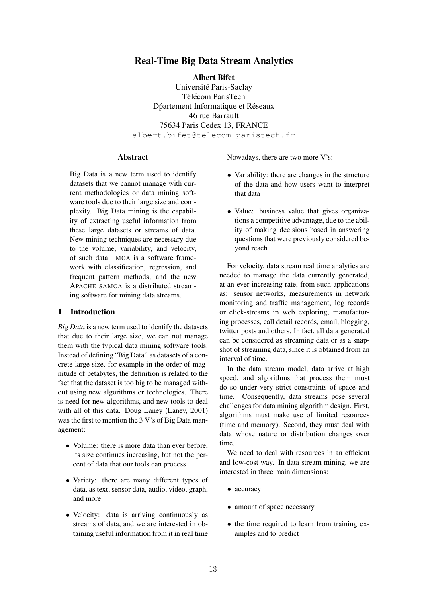# Real-Time Big Data Stream Analytics

Albert Bifet

Universite Paris-Saclay ´ Télécom ParisTech Dpartement Informatique et Réseaux 46 rue Barrault 75634 Paris Cedex 13, FRANCE albert.bifet@telecom-paristech.fr

# **Abstract**

Big Data is a new term used to identify datasets that we cannot manage with current methodologies or data mining software tools due to their large size and complexity. Big Data mining is the capability of extracting useful information from these large datasets or streams of data. New mining techniques are necessary due to the volume, variability, and velocity, of such data. MOA is a software framework with classification, regression, and frequent pattern methods, and the new APACHE SAMOA is a distributed streaming software for mining data streams.

# 1 Introduction

*Big Data* is a new term used to identify the datasets that due to their large size, we can not manage them with the typical data mining software tools. Instead of defining "Big Data" as datasets of a concrete large size, for example in the order of magnitude of petabytes, the definition is related to the fact that the dataset is too big to be managed without using new algorithms or technologies. There is need for new algorithms, and new tools to deal with all of this data. Doug Laney (Laney, 2001) was the first to mention the 3 V's of Big Data management:

- Volume: there is more data than ever before, its size continues increasing, but not the percent of data that our tools can process
- Variety: there are many different types of data, as text, sensor data, audio, video, graph, and more
- Velocity: data is arriving continuously as streams of data, and we are interested in obtaining useful information from it in real time

Nowadays, there are two more V's:

- Variability: there are changes in the structure of the data and how users want to interpret that data
- Value: business value that gives organizations a competitive advantage, due to the ability of making decisions based in answering questions that were previously considered beyond reach

For velocity, data stream real time analytics are needed to manage the data currently generated, at an ever increasing rate, from such applications as: sensor networks, measurements in network monitoring and traffic management, log records or click-streams in web exploring, manufacturing processes, call detail records, email, blogging, twitter posts and others. In fact, all data generated can be considered as streaming data or as a snapshot of streaming data, since it is obtained from an interval of time.

In the data stream model, data arrive at high speed, and algorithms that process them must do so under very strict constraints of space and time. Consequently, data streams pose several challenges for data mining algorithm design. First, algorithms must make use of limited resources (time and memory). Second, they must deal with data whose nature or distribution changes over time.

We need to deal with resources in an efficient and low-cost way. In data stream mining, we are interested in three main dimensions:

- *•* accuracy
- amount of space necessary
- the time required to learn from training examples and to predict